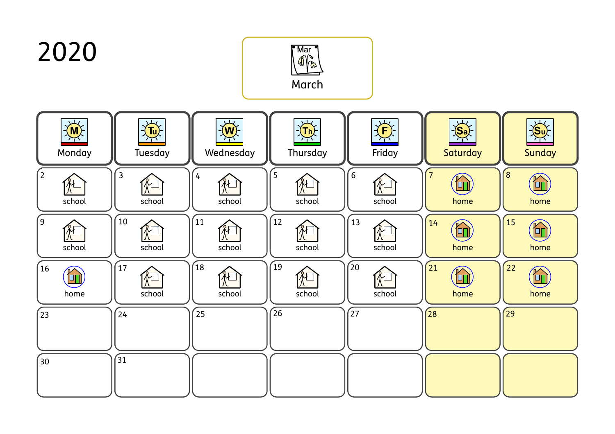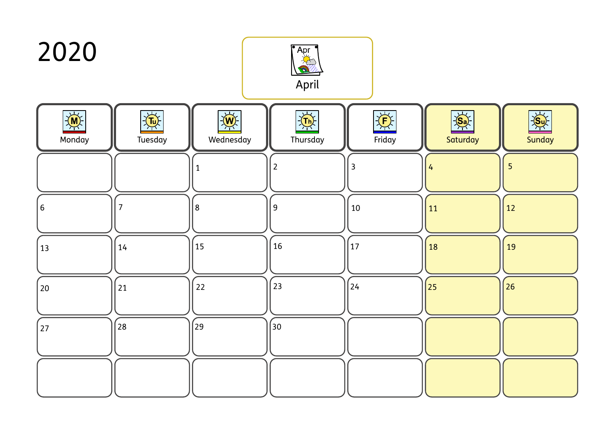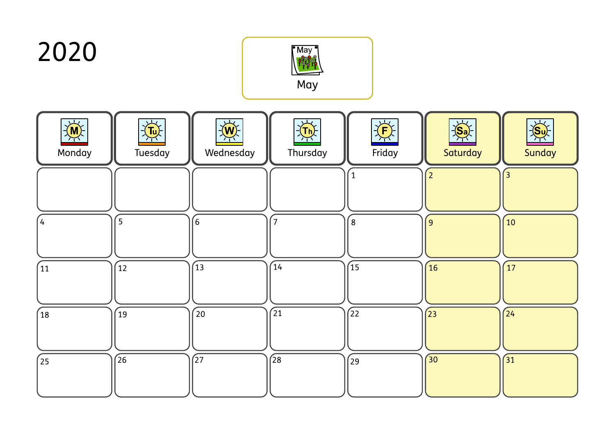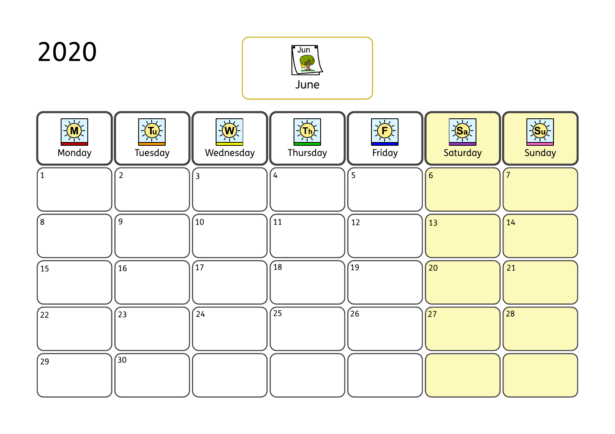